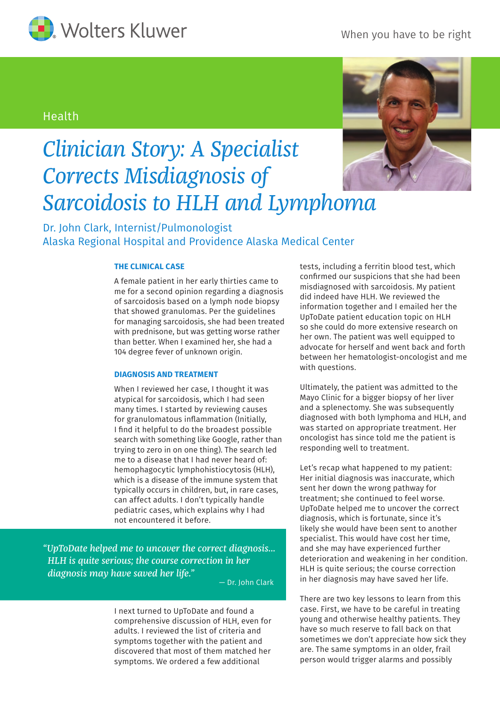

### When you have to be right

## Health



# *Clinician Story: A Specialist Corrects Misdiagnosis of Sarcoidosis to HLH and Lymphoma*

Dr. John Clark, Internist/Pulmonologist Alaska Regional Hospital and Providence Alaska Medical Center

#### **THE CLINICAL CASE**

A female patient in her early thirties came to me for a second opinion regarding a diagnosis of sarcoidosis based on a lymph node biopsy that showed granulomas. Per the guidelines for managing sarcoidosis, she had been treated with prednisone, but was getting worse rather than better. When I examined her, she had a 104 degree fever of unknown origin.

#### **DIAGNOSIS AND TREATMENT**

When I reviewed her case, I thought it was atypical for sarcoidosis, which I had seen many times. I started by reviewing causes for granulomatous inflammation (Initially, I find it helpful to do the broadest possible search with something like Google, rather than trying to zero in on one thing). The search led me to a disease that I had never heard of: hemophagocytic lymphohistiocytosis (HLH), which is a disease of the immune system that typically occurs in children, but, in rare cases, can affect adults. I don't typically handle pediatric cases, which explains why I had not encountered it before.

*"UpToDate helped me to uncover the correct diagnosis... HLH is quite serious; the course correction in her diagnosis may have saved her life."* 

— Dr. John Clark

I next turned to UpToDate and found a comprehensive discussion of HLH, even for adults. I reviewed the list of criteria and symptoms together with the patient and discovered that most of them matched her symptoms. We ordered a few additional

tests, including a ferritin blood test, which confirmed our suspicions that she had been misdiagnosed with sarcoidosis. My patient did indeed have HLH. We reviewed the information together and I emailed her the UpToDate patient education topic on HLH so she could do more extensive research on her own. The patient was well equipped to advocate for herself and went back and forth between her hematologist-oncologist and me with questions.

Ultimately, the patient was admitted to the Mayo Clinic for a bigger biopsy of her liver and a splenectomy. She was subsequently diagnosed with both lymphoma and HLH, and was started on appropriate treatment. Her oncologist has since told me the patient is responding well to treatment.

Let's recap what happened to my patient: Her initial diagnosis was inaccurate, which sent her down the wrong pathway for treatment; she continued to feel worse. UpToDate helped me to uncover the correct diagnosis, which is fortunate, since it's likely she would have been sent to another specialist. This would have cost her time, and she may have experienced further deterioration and weakening in her condition. HLH is quite serious; the course correction in her diagnosis may have saved her life.

There are two key lessons to learn from this case. First, we have to be careful in treating young and otherwise healthy patients. They have so much reserve to fall back on that sometimes we don't appreciate how sick they are. The same symptoms in an older, frail person would trigger alarms and possibly